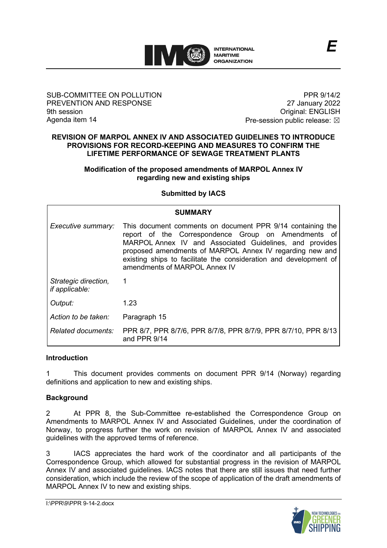

### SUB-COMMITTEE ON POLLUTION PREVENTION AND RESPONSE 9th session Agenda item 14

PPR 9/14/2 27 January 2022 Original: ENGLISH Pre-session public release:  $\boxtimes$ 

*E*

#### **REVISION OF MARPOL ANNEX IV AND ASSOCIATED GUIDELINES TO INTRODUCE PROVISIONS FOR RECORD-KEEPING AND MEASURES TO CONFIRM THE LIFETIME PERFORMANCE OF SEWAGE TREATMENT PLANTS**

### **Modification of the proposed amendments of MARPOL Annex IV regarding new and existing ships**

## **Submitted by IACS**

| <b>SUMMARY</b>                         |                                                                                                                                                                                                                                                                                                                                                |
|----------------------------------------|------------------------------------------------------------------------------------------------------------------------------------------------------------------------------------------------------------------------------------------------------------------------------------------------------------------------------------------------|
| Executive summary:                     | This document comments on document PPR 9/14 containing the<br>report of the Correspondence Group on Amendments of<br>MARPOL Annex IV and Associated Guidelines, and provides<br>proposed amendments of MARPOL Annex IV regarding new and<br>existing ships to facilitate the consideration and development of<br>amendments of MARPOL Annex IV |
| Strategic direction,<br>if applicable: | $\overline{1}$                                                                                                                                                                                                                                                                                                                                 |
| Output:                                | 1.23                                                                                                                                                                                                                                                                                                                                           |
| Action to be taken:                    | Paragraph 15                                                                                                                                                                                                                                                                                                                                   |
| Related documents:                     | PPR 8/7, PPR 8/7/6, PPR 8/7/8, PPR 8/7/9, PPR 8/7/10, PPR 8/13<br>and PPR 9/14                                                                                                                                                                                                                                                                 |

## **Introduction**

1 This document provides comments on document PPR 9/14 (Norway) regarding definitions and application to new and existing ships.

## **Background**

2 At PPR 8, the Sub-Committee re-established the Correspondence Group on Amendments to MARPOL Annex IV and Associated Guidelines, under the coordination of Norway, to progress further the work on revision of MARPOL Annex IV and associated guidelines with the approved terms of reference.

3 IACS appreciates the hard work of the coordinator and all participants of the Correspondence Group, which allowed for substantial progress in the revision of MARPOL Annex IV and associated guidelines. IACS notes that there are still issues that need further consideration, which include the review of the scope of application of the draft amendments of MARPOL Annex IV to new and existing ships.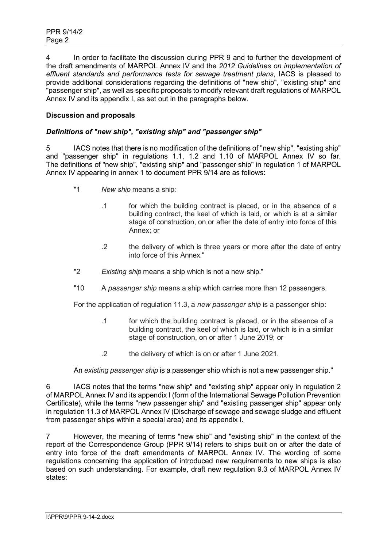4 In order to facilitate the discussion during PPR 9 and to further the development of the draft amendments of MARPOL Annex IV and the *2012 Guidelines on implementation of effluent standards and performance tests for sewage treatment plans*, IACS is pleased to provide additional considerations regarding the definitions of "new ship", "existing ship" and "passenger ship", as well as specific proposals to modify relevant draft regulations of MARPOL Annex IV and its appendix I, as set out in the paragraphs below.

# **Discussion and proposals**

# *Definitions of "new ship", "existing ship" and "passenger ship"*

5 IACS notes that there is no modification of the definitions of "new ship", "existing ship" and "passenger ship" in regulations 1.1, 1.2 and 1.10 of MARPOL Annex IV so far. The definitions of "new ship", "existing ship" and "passenger ship" in regulation 1 of MARPOL Annex IV appearing in annex 1 to document PPR 9/14 are as follows:

- "1 *New ship* means a ship:
	- .1 for which the building contract is placed, or in the absence of a building contract, the keel of which is laid, or which is at a similar stage of construction, on or after the date of entry into force of this Annex; or
	- .2 the delivery of which is three years or more after the date of entry into force of this Annex."
- "2 *Existing ship* means a ship which is not a new ship."
- "10 A *passenger ship* means a ship which carries more than 12 passengers.

For the application of regulation 11.3, a *new passenger ship* is a passenger ship:

- .1 for which the building contract is placed, or in the absence of a building contract, the keel of which is laid, or which is in a similar stage of construction, on or after 1 June 2019; or
- .2 the delivery of which is on or after 1 June 2021.

An *existing passenger ship* is a passenger ship which is not a new passenger ship."

6 IACS notes that the terms "new ship" and "existing ship" appear only in regulation 2 of MARPOL Annex IV and its appendix I (form of the International Sewage Pollution Prevention Certificate), while the terms "new passenger ship" and "existing passenger ship" appear only in regulation 11.3 of MARPOL Annex IV (Discharge of sewage and sewage sludge and effluent from passenger ships within a special area) and its appendix I.

7 However, the meaning of terms "new ship" and "existing ship" in the context of the report of the Correspondence Group (PPR 9/14) refers to ships built on or after the date of entry into force of the draft amendments of MARPOL Annex IV. The wording of some regulations concerning the application of introduced new requirements to new ships is also based on such understanding. For example, draft new regulation 9.3 of MARPOL Annex IV states: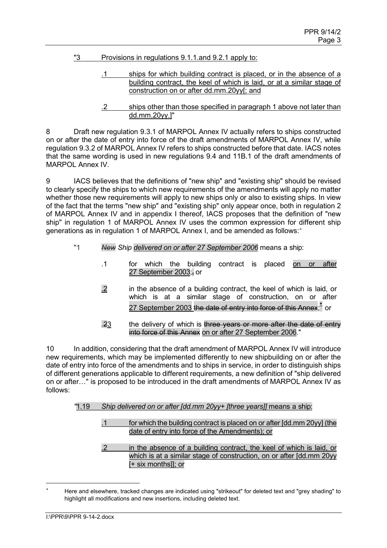- "3 Provisions in regulations 9.1.1.and 9.2.1 apply to:
	- .1 ships for which building contract is placed, or in the absence of a building contract, the keel of which is laid, or at a similar stage of construction on or after dd.mm.20yy[; and
	- .2 ships other than those specified in paragraph 1 above not later than dd.mm.20yy.]"

8 Draft new regulation 9.3.1 of MARPOL Annex IV actually refers to ships constructed on or after the date of entry into force of the draft amendments of MARPOL Annex IV, while regulation 9.3.2 of MARPOL Annex IV refers to ships constructed before that date. IACS notes that the same wording is used in new regulations 9.4 and 11B.1 of the draft amendments of MARPOL Annex IV.

9 IACS believes that the definitions of "new ship" and "existing ship" should be revised to clearly specify the ships to which new requirements of the amendments will apply no matter whether those new requirements will apply to new ships only or also to existing ships. In view of the fact that the terms "new ship" and "existing ship" only appear once, both in regulation 2 of MARPOL Annex IV and in appendix I thereof, IACS proposes that the definition of "new ship" in regulation 1 of MARPOL Annex IV uses the common expression for different ship generations as in regulation 1 of MARPOL Annex I, and be amended as follows:<sup>\*</sup>

- "1 *New Ship delivered on or after 27 September 2006* means a ship:
	- .1 for which the building contract is placed on or after 27 September 2003; $\frac{1}{2}$  or
	- .2 in the absence of a building contract, the keel of which is laid, or which is at a similar stage of construction, on or after 27 September 2003 the date of entry into force of this Annex;<sup>\*</sup> or
	- .23 the delivery of which is three years or more after the date of entry into force of this Annex on or after 27 September 2006."

10 In addition, considering that the draft amendment of MARPOL Annex IV will introduce new requirements, which may be implemented differently to new shipbuilding on or after the date of entry into force of the amendments and to ships in service, in order to distinguish ships of different generations applicable to different requirements, a new definition of "ship delivered on or after…" is proposed to be introduced in the draft amendments of MARPOL Annex IV as follows:

#### *"*1.19 *Ship delivered on or after [dd.mm 20yy+ [three years]]* means a ship:

.1 for which the building contract is placed on or after [dd.mm 20yy] (the date of entry into force of the Amendments); or

.2 in the absence of a building contract, the keel of which is laid, or which is at a similar stage of construction, on or after [dd.mm 20yy] [+ six months]]; or

<span id="page-2-0"></span>Here and elsewhere, tracked changes are indicated using "strikeout" for deleted text and "grey shading" to highlight all modifications and new insertions, including deleted text.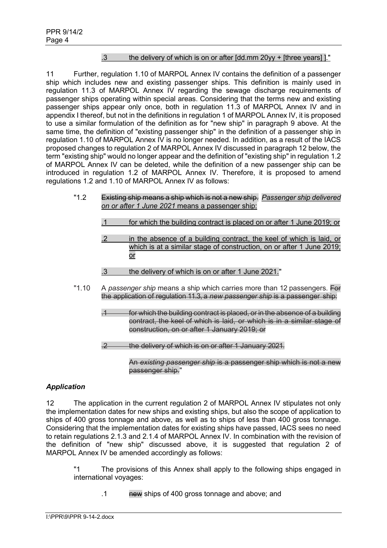# .3 the delivery of which is on or after [dd.mm 20yy + [three years] ]."

11 Further, regulation 1.10 of MARPOL Annex IV contains the definition of a passenger ship which includes new and existing passenger ships. This definition is mainly used in regulation 11.3 of MARPOL Annex IV regarding the sewage discharge requirements of passenger ships operating within special areas. Considering that the terms new and existing passenger ships appear only once, both in regulation 11.3 of MARPOL Annex IV and in appendix I thereof, but not in the definitions in regulation 1 of MARPOL Annex IV, it is proposed to use a similar formulation of the definition as for "new ship" in paragraph 9 above. At the same time, the definition of "existing passenger ship" in the definition of a passenger ship in regulation 1.10 of MARPOL Annex IV is no longer needed. In addition, as a result of the IACS proposed changes to regulation 2 of MARPOL Annex IV discussed in paragraph 12 below, the term "existing ship" would no longer appear and the definition of "existing ship" in regulation 1.2 of MARPOL Annex IV can be deleted, while the definition of a new passenger ship can be introduced in regulation 1.2 of MARPOL Annex IV. Therefore, it is proposed to amend regulations 1.2 and 1.10 of MARPOL Annex IV as follows:

- "1.2 Existing ship means a ship which is not a new ship. *Passenger ship delivered on or after 1 June 2021* means a passenger ship:
	- .1 for which the building contract is placed on or after 1 June 2019; or
	- .2 in the absence of a building contract, the keel of which is laid, or which is at a similar stage of construction, on or after 1 June 2019: or
	- .3 the delivery of which is on or after 1 June 2021."
- "1.10 A *passenger ship* means a ship which carries more than 12 passengers. For the application of regulation 11.3, a *new passenger ship* is a passenger ship:
	- for which the building contract is placed, or in the absence of a building contract, the keel of which is laid, or which is in a similar stage of construction, on or after 1 January 2019; or
	- .2 the delivery of which is on or after 1 January 2021.

An *existing passenger ship* is a passenger ship which is not a new passenger ship."

## *Application*

12 The application in the current regulation 2 of MARPOL Annex IV stipulates not only the implementation dates for new ships and existing ships, but also the scope of application to ships of 400 gross tonnage and above, as well as to ships of less than 400 gross tonnage. Considering that the implementation dates for existing ships have passed, IACS sees no need to retain regulations 2.1.3 and 2.1.4 of MARPOL Annex IV. In combination with the revision of the definition of "new ship" discussed above, it is suggested that regulation 2 of MARPOL Annex IV be amended accordingly as follows:

"1 The provisions of this Annex shall apply to the following ships engaged in international voyages:

.1 new ships of 400 gross tonnage and above; and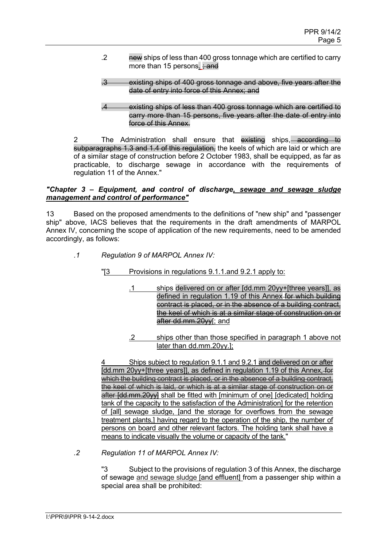- .2 new ships of less than 400 gross tonnage which are certified to carry more than 15 persons.  $\div$  and
- .3 existing ships of 400 gross tonnage and above, five years after the date of entry into force of this Annex; and
- .4 existing ships of less than 400 gross tonnage which are certified to carry more than 15 persons, five years after the date of entry into force of this Annex.

2 The Administration shall ensure that existing ships, according to subparagraphs 1.3 and 1.4 of this regulation, the keels of which are laid or which are of a similar stage of construction before 2 October 1983, shall be equipped, as far as practicable, to discharge sewage in accordance with the requirements of regulation 11 of the Annex."

#### *"Chapter 3* **–** *Equipment, and control of discharge, sewage and sewage sludge management and control of performance"*

13 Based on the proposed amendments to the definitions of "new ship" and "passenger ship" above, IACS believes that the requirements in the draft amendments of MARPOL Annex IV, concerning the scope of application of the new requirements, need to be amended accordingly, as follows:

- *.1 Regulation 9 of MARPOL Annex IV:*
	- "[3 Provisions in regulations 9.1.1.and 9.2.1 apply to:
		- .1 ships delivered on or after [dd.mm 20yy+[three years]], as defined in regulation 1.19 of this Annex for which building contract is placed, or in the absence of a building contract, the keel of which is at a similar stage of construction on or after dd.mm.20yy[; and
		- .2 ships other than those specified in paragraph 1 above not later than dd.mm.20yy.];

Ships subject to regulation 9.1.1 and 9.2.1 and delivered on or after Idd.mm 20yy+[three years]], as defined in regulation 1.19 of this Annex, for which the building contract is placed, or in the absence of a building contract, the keel of which is laid, or which is at a similar stage of construction on or after [dd.mm.20yy] shall be fitted with [minimum of one] [dedicated] holding tank of the capacity to the satisfaction of the Administration] for the retention of [all] sewage sludge, [and the storage for overflows from the sewage treatment plants,] having regard to the operation of the ship, the number of persons on board and other relevant factors. The holding tank shall have a means to indicate visually the volume or capacity of the tank."

*.2 Regulation 11 of MARPOL Annex IV:*

"3 Subject to the provisions of regulation 3 of this Annex, the discharge of sewage and sewage sludge [and effluent] from a passenger ship within a special area shall be prohibited: